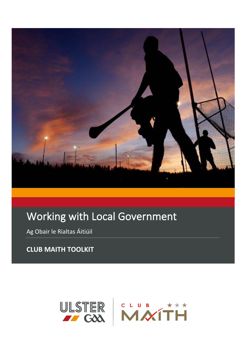

# Working with Local Government

Ag Obair le Rialtas Áitiúil

**CLUB MAITH TOOLKIT** 

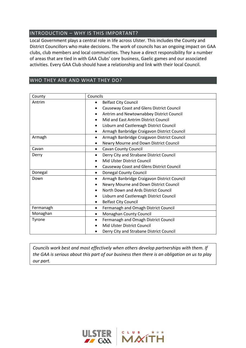# INTRODUCTION – WHY IS THIS IMPORTANT?

Local Government plays a central role in life across Ulster. This includes the County and District Councillors who make decisions. The work of councils has an ongoing impact on GAA clubs, club members and local communities. They have a direct responsibility for a number of areas that are tied in with GAA Clubs' core business, Gaelic games and our associated activities. Every GAA Club should have a relationship and link with their local Council.

## WHO THEY ARE AND WHAT THEY DO?

| County    | Councils                                          |  |
|-----------|---------------------------------------------------|--|
| Antrim    | <b>Belfast City Council</b><br>$\bullet$          |  |
|           | Causeway Coast and Glens District Council         |  |
|           | Antrim and Newtownabbey District Council          |  |
|           | Mid and East Antrim District Council              |  |
|           | Lisburn and Castlereagh District Council          |  |
|           | Armagh Banbridge Craigavon District Council       |  |
| Armagh    | Armagh Banbridge Craigavon District Council<br>٠  |  |
|           | Newry Mourne and Down District Council<br>٠       |  |
| Cavan     | Cavan County Council<br>٠                         |  |
| Derry     | Derry City and Strabane District Council<br>٠     |  |
|           | Mid Ulster District Council                       |  |
|           | <b>Causeway Coast and Glens District Council</b>  |  |
| Donegal   | <b>Donegal County Council</b><br>٠                |  |
| Down      | Armagh Banbridge Craigavon District Council<br>٠  |  |
|           | Newry Mourne and Down District Council            |  |
|           | North Down and Ards District Council              |  |
|           | Lisburn and Castlereagh District Council          |  |
|           | <b>Belfast City Council</b><br>$\bullet$          |  |
| Fermanagh | Fermanagh and Omagh District Council<br>$\bullet$ |  |
| Monaghan  | Monaghan County Council<br>٠                      |  |
| Tyrone    | Fermanagh and Omagh District Council<br>$\bullet$ |  |
|           | Mid Ulster District Council                       |  |
|           | Derry City and Strabane District Council          |  |

*Councils work best and most effectively when others develop partnerships with them. If the GAA is serious about this part of our business then there is an obligation on us to play our part.*

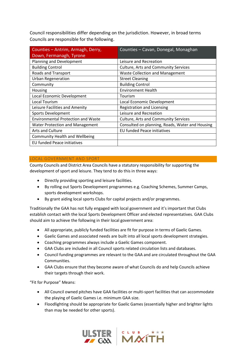Council responsibilities differ depending on the jurisdiction. However, in broad terms Councils are responsible for the following.

| Counties - Antrim, Armagh, Derry,         | Counties - Cavan, Donegal, Monaghan             |
|-------------------------------------------|-------------------------------------------------|
| Down, Fermanagh, Tyrone                   |                                                 |
| Planning and Development                  | Leisure and Recreation                          |
| <b>Building Control</b>                   | <b>Culture, Arts and Community Services</b>     |
| Roads and Transport                       | <b>Waste Collection and Management</b>          |
| <b>Urban Regeneration</b>                 | <b>Street Cleaning</b>                          |
| Community                                 | <b>Building Control</b>                         |
| Housing                                   | <b>Environment Health</b>                       |
| Local Economic Development                | Tourism                                         |
| Local Tourism                             | Local Economic Development                      |
| Leisure Facilities and Amenity            | Registration and Licensing                      |
| <b>Sports Development</b>                 | Leisure and Recreation                          |
| <b>Environmental Protection and Waste</b> | <b>Culture, Arts and Community Services</b>     |
| <b>Water Protection and Management</b>    | Consulted on planning, Roads, Water and Housing |
| <b>Arts and Culture</b>                   | <b>EU funded Peace initiatives</b>              |
| <b>Community Health and Wellbeing</b>     |                                                 |
| EU funded Peace initiatives               |                                                 |

## LOCAL GOVERNMENT AND SPORT

County Councils and District Area Councils have a statutory responsibility for supporting the development of sport and leisure. They tend to do this in three ways:

- Directly providing sporting and leisure facilities.
- By rolling out Sports Development programmes e.g. Coaching Schemes, Summer Camps, sports development workshops.
- By grant aiding local sports Clubs for capital projects and/or programmes.

Traditionally the GAA has not fully engaged with local government and it's important that Clubs establish contact with the local Sports Development Officer and elected representatives. GAA Clubs should aim to achieve the following in their local government area:

- All appropriate, publicly funded facilities are fit for purpose in terms of Gaelic Games.
- Gaelic Games and associated needs are built into all local sports development strategies.
- Coaching programmes always include a Gaelic Games component.
- GAA Clubs are included in all Council sports related circulation lists and databases.
- Council funding programmes are relevant to the GAA and are circulated throughout the GAA Communities.
- GAA Clubs ensure that they become aware of what Councils do and help Councils achieve their targets through their work.

"Fit for Purpose" Means:

- All Council owned pitches have GAA facilities or multi-sport facilities that can accommodate the playing of Gaelic Games i.e. minimum GAA size.
- Floodlighting should be appropriate for Gaelic Games (essentially higher and brighter lights than may be needed for other sports).



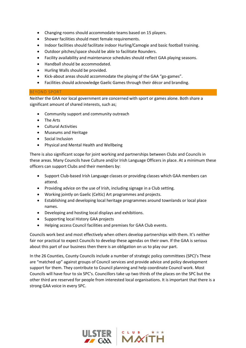- Changing rooms should accommodate teams based on 15 players.
- Shower facilities should meet female requirements.
- Indoor facilities should facilitate indoor Hurling/Camogie and basic football training.
- Outdoor pitches/space should be able to facilitate Rounders.
- Facility availability and maintenance schedules should reflect GAA playing seasons.
- Handball should be accommodated.
- Hurling Walls should be provided.
- Kick-about areas should accommodate the playing of the GAA "go-games".
- Facilities should acknowledge Gaelic Games through their décor and branding.

#### BEYOND SPORT

Neither the GAA nor local government are concerned with sport or games alone. Both share a significant amount of shared interests, such as;

- Community support and community outreach
- The Arts
- Cultural Activities
- Museums and Heritage
- Social Inclusion
- Physical and Mental Health and Wellbeing

There is also significant scope for joint working and partnerships between Clubs and Councils in these areas. Many Councils have Culture and/or Irish Language Officers in place. At a minimum these officers can support Clubs and their members by:

- Support Club-based Irish Language classes or providing classes which GAA members can attend.
- Providing advice on the use of Irish, including signage in a Club setting.
- Working jointly on Gaelic (Celtic) Art programmes and projects.
- Establishing and developing local heritage programmes around townlands or local place names.
- Developing and hosting local displays and exhibitions.
- Supporting local History GAA projects
- Helping access Council facilities and premises for GAA Club events.

Councils work best and most effectively when others develop partnerships with them. It's neither fair nor practical to expect Councils to develop these agendas on their own. If the GAA is serious about this part of our business then there is an obligation on us to play our part.

In the 26 Counties, County Councils include a number of strategic policy committees (SPC)'s These are "matched up" against groups of Council services and provide advice and policy development support for them. They contribute to Council planning and help coordinate Council work. Most Councils will have four to six SPC's. Councillors take up two thirds of the places on the SPC but the other third are reserved for people from interested local organisations. It is important that there is a strong GAA voice in every SPC.

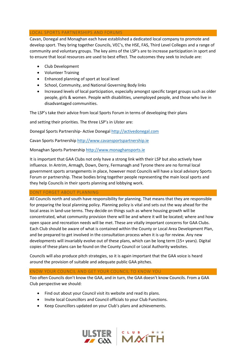#### LOCAL SPORTS PARTNERSHIPS AND FORUMS

Cavan, Donegal and Monaghan each have established a dedicated local company to promote and develop sport. They bring together Councils, VEC's, the HSE, FAS, Third Level Colleges and a range of community and voluntary groups. The key aims of the LSP's are to increase participation in sport and to ensure that local resources are used to best effect. The outcomes they seek to include are:

- Club Development
- Volunteer Training
- Enhanced planning of sport at local level
- School, Community, and National Governing Body links
- Increased levels of local participation, especially amongst specific target groups such as older people, girls & women. People with disabilities, unemployed people, and those who live in disadvantaged communities.

The LSP's take their advice from local Sports Forum in terms of developing their plans

and setting their priorities. The three LSP's in Ulster are:

Donegal Sports Partnership- Active Donegal [http://activedonegal.com](http://activedonegal.com/)

Cavan Sports Partnership [http://www.cavansportspartnership.ie](http://www.cavansportspartnership.ie/)

Monaghan Sports Partnership [http://www.monaghansports.ie](http://www.monaghansports.ie/)

It is important that GAA Clubs not only have a strong link with their LSP but also actively have influence. In Antrim, Armagh, Down, Derry, Fermanagh and Tyrone there are no formal local government sports arrangements in place, however most Councils will have a local advisory Sports Forum or partnership. These bodies bring together people representing the main local sports and they help Councils in their sports planning and lobbying work.

## DONT FORGET ABOUT PLANNING

All Councils north and south have responsibility for planning. That means that they are responsible for preparing the local planning policy. Planning policy is vital and sets out the way ahead for the local areas in land-use terms. They decide on things such as where housing growth will be concentrated, what community provision there will be and where it will be located; where and how open space and recreation needs will be met. These are vitally important concerns for GAA Clubs. Each Club should be aware of what is contained within the County or Local Area Development Plan, and be prepared to get involved in the consultation process when it is up for review. Any new developments will invariably evolve out of these plans, which can be long term (15+ years). Digital copies of these plans can be found on the County Council or Local Authority websites.

Councils will also produce pitch strategies, so it is again important that the GAA voice is heard around the provision of suitable and adequate public GAA pitches.

#### KNOW YOUR COUNCIL AND GET YOUR COUNCIL TO KNOW YOU

Too often Councils don't know the GAA, and in turn, the GAA doesn't know Councils. From a GAA Club perspective we should:

- Find out about your Council visit its website and read its plans.
- Invite local Councillors and Council officials to your Club Functions.
- Keep Councillors updated on your Club's plans and achievements.